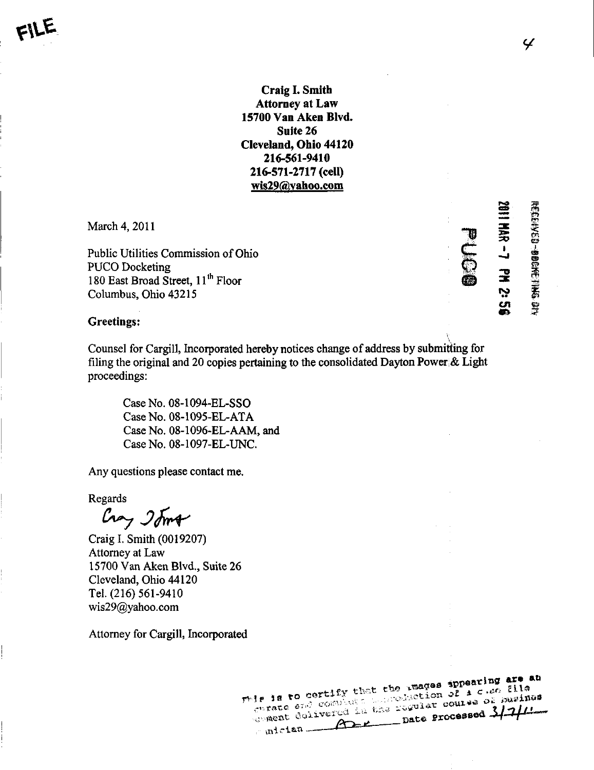Craig I. Smitli Attorney at Law 15700 Van Aken Blvd. Suite 26 Cleveland, Ohio 44120 216-561-9410 216-571-2717 (cell) wis29@yahoo.com

March 4,2011

Public Utilities Commission of Ohio PUCO Docketing 180 East Broad Street, 11<sup>th</sup> Floor Columbus, Ohio 43215

 $\boldsymbol{\bar{\Xi}}$ t  $\mathbf{r}$ cn

m

 $\mathbf{v}$  $\tilde{\mathbb{E}}$  rs»

 $\tilde{E}$ 

**MI PASSE** 

f

## Greetings:

Counsel for Cargill, Incorporated hereby notices change of address by submitting for filing the original and 20 copies pertaining to the consolidated Dayton Power & Light proceedings:

CaseNo. 08-1094-EL-SSO Case No. 08-1095-EL-ATA Case No. 08-1096-EL-AAM, and Case No. 08-1097-EL-UNC.

Any questions please contact me.

Regards

Cray Ioma

Craig 1. Smith (0019207) Attomey at Law 15700 Van Aken Blvd., Suite 26 Cleveland, Ohio 44120 Tel. (216) 561-9410 wis29 $@y$ ahoo.com

Attomey for Cargill, Incorporated

rele is to certify that the images ippearing are an is is to descript that the reages spreading are ad  $\text{Area}$   $\overrightarrow{11}$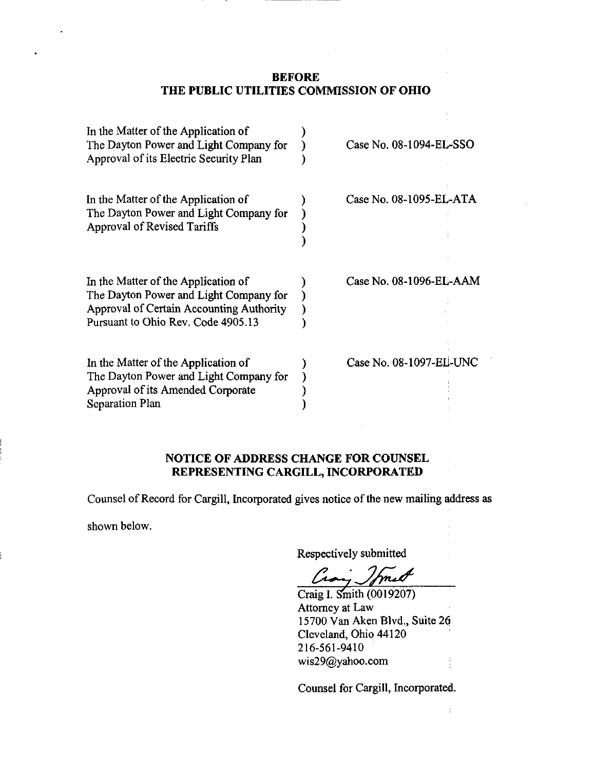## BEFORE THE PUBLIC UTILITIES COMMISSION OF OHIO

| In the Matter of the Application of<br>The Dayton Power and Light Company for<br>Approval of its Electric Security Plan                                         | Case No. 08-1094-EL-SSO |
|-----------------------------------------------------------------------------------------------------------------------------------------------------------------|-------------------------|
| In the Matter of the Application of<br>The Dayton Power and Light Company for<br>Approval of Revised Tariffs                                                    | Case No. 08-1095-EL-ATA |
| In the Matter of the Application of<br>The Dayton Power and Light Company for<br>Approval of Certain Accounting Authority<br>Pursuant to Ohio Rev. Code 4905.13 | Case No. 08-1096-EL-AAM |
| In the Matter of the Application of<br>The Dayton Power and Light Company for<br>Approval of its Amended Corporate<br>Separation Plan                           | Case No. 08-1097-EL-UNC |

## NOTICE OF ADDRESS CHANGE FOR COUNSEL REPRESENTING CARGILL, INCORPORATED

Counsel of Record for Cargill, Incorporated gives notice of the new mailing address as

shown below.

Respectively submitted

Craig L Smith (0019207) Attomey at Law 15700 Van Aken Blvd., Suite 26 Cleveland, Ohio 44120 216-561-9410 [wis29@yahoo.com](mailto:wis29@yahoo.com) 

Counsel for Cargill, Incorporated.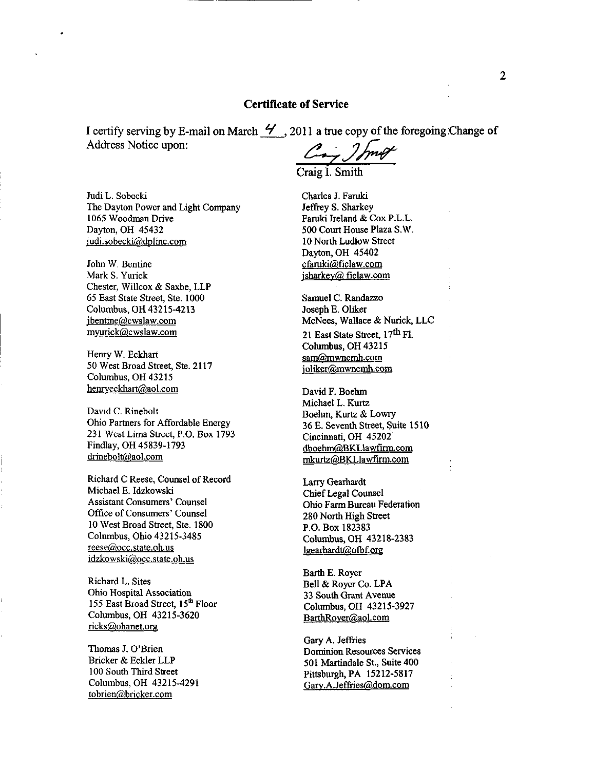## Certificate of Service

I certify serving by E-mail on March  $\mathcal Y$ , 2011 a true copy of the foregoing Change of Address Notice upon:

Craig I. Smith

Judi L. Sobecki The Dayton Power and Light Company 1065 Woodman Drive Dayton, OH 45432 [iudi.sobecki@dplinc.com](mailto:iudi.sobecki@dplinc.com) 

John W. Bentine Mark S. Yurick Chester, Willcox & Saxbe, LLP 65 East State Street, Ste. 1000 Columbus, OH 43215-4213 [ibentine@cwslaw.com](mailto:ibentine@cwslaw.com)  [mvurick@cwslaw.com](mailto:mvurick@cwslaw.com) 

Henry W. Eckhart 50 West Broad Street, Ste. 2117 Columbus, OH 43215 [henrveckhart@aol.com](mailto:henrveckhart@aol.com) 

David C. Rinebolt Ohio Partners for Affordable Energy 231 West Lima Street, P.O. Box 1793 Findlay, OH 45839-1793 drinebolt@aol.com

Richard C Reese, Counsel of Record Michael E. Idzkowski Assistant Consumers' Counsel Office of Consumers' Counsel 10 West Broad Street, Ste. 1800 Columbus, Ohio 43215-3485 reese@occ.state.oh.us [idzkowski@occ.state.oh.us](mailto:idzkowski@occ.state.oh.us) 

Richard L. Sites Ohio Hospital Association 155 East Broad Street, 15<sup>th</sup> Floor Columbus, OH 43215-3620 [ricks@ohanet.org](mailto:ricks@ohanet.org) 

Thomas J. O'Brien Bricker & Eckler LLP 100 South Third Street Columbus, OH 43215-4291 tobrien@bricker. com

Charles J. Faruki Jeffrey S. Sharkey Faruki Ireland & Cox P.L.L. 500 Court House Plaza S.W. 10 North Ludlow Street Dayton, OH 45402 [cfaruki@ficlaw.com](mailto:cfaruki@ficlaw.com)  jsharkev@ [ficlaw.com](http://ficlaw.com) 

Samuel C. Randazzo Joseph E. Oliker McNees, Wallace & Nurick, LLC 21 East State Street, 17<sup>th</sup> Fl. Columbus, OH 43215 sam@mwncmh.com joliker@mwncmh.com

David F. Boehm Michael L. Kurtz Boehm, Kurtz & Lowry 36 E. Seventh Street, Suite 1510 Cincinnati, OH 45202 dboehm@.BKLlawfirm.com mkurtz@BKLlawfirm.com

Larry Gearhardt Chief Legal Counsel Ohio Farm Bureau Federation 280 North High Street P.O. Box 182383 Columbus, OH 43218-2383 [lgearhardt@ofbf.org](mailto:lgearhardt@ofbf.org) 

Barth E. Royer Bell & Royer Co. LPA 33 South Grant Avenue Columbus, OH 43215-3927 [BarthRoyer@aol.com](mailto:BarthRoyer@aol.com) 

Gary A. Jeffries Dominion Resources Services 501 Martindale St., Suite 400 Pittsburgh, PA 15212-5817 [GarY.A.Jeffries@dom.com](mailto:GarY.A.Jeffries@dom.com)